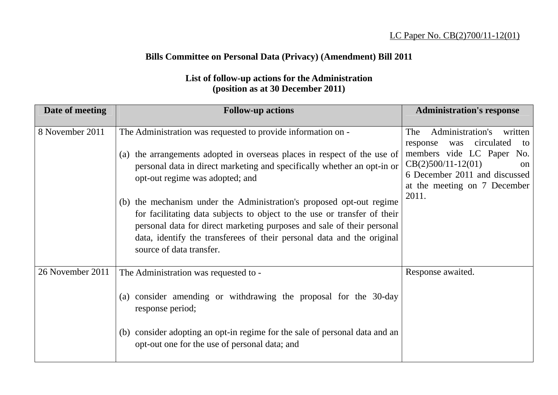## **Bills Committee on Personal Data (Privacy) (Amendment) Bill 2011**

## **List of follow-up actions for the Administration (position as at 30 December 2011)**

| Date of meeting  | <b>Follow-up actions</b>                                                                                                                                                                                                                                                                                                                                                                                                                                                                                                                                                                   | <b>Administration's response</b>                                                                                                                                                                               |
|------------------|--------------------------------------------------------------------------------------------------------------------------------------------------------------------------------------------------------------------------------------------------------------------------------------------------------------------------------------------------------------------------------------------------------------------------------------------------------------------------------------------------------------------------------------------------------------------------------------------|----------------------------------------------------------------------------------------------------------------------------------------------------------------------------------------------------------------|
| 8 November 2011  | The Administration was requested to provide information on -<br>(a) the arrangements adopted in overseas places in respect of the use of<br>personal data in direct marketing and specifically whether an opt-in or<br>opt-out regime was adopted; and<br>(b) the mechanism under the Administration's proposed opt-out regime<br>for facilitating data subjects to object to the use or transfer of their<br>personal data for direct marketing purposes and sale of their personal<br>data, identify the transferees of their personal data and the original<br>source of data transfer. | Administration's<br>written<br>The<br>circulated<br>response<br>was<br>to<br>members vide LC Paper No.<br>$CB(2)500/11-12(01)$<br>on<br>6 December 2011 and discussed<br>at the meeting on 7 December<br>2011. |
| 26 November 2011 | The Administration was requested to -<br>(a) consider amending or withdrawing the proposal for the 30-day<br>response period;<br>(b) consider adopting an opt-in regime for the sale of personal data and an<br>opt-out one for the use of personal data; and                                                                                                                                                                                                                                                                                                                              | Response awaited.                                                                                                                                                                                              |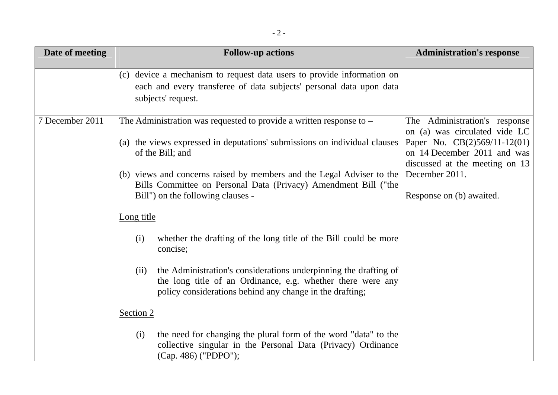| Date of meeting | <b>Follow-up actions</b>                                                                                                                                                                                                                                                                                                                                | <b>Administration's response</b>                                                                                                                                                                                |
|-----------------|---------------------------------------------------------------------------------------------------------------------------------------------------------------------------------------------------------------------------------------------------------------------------------------------------------------------------------------------------------|-----------------------------------------------------------------------------------------------------------------------------------------------------------------------------------------------------------------|
|                 | (c) device a mechanism to request data users to provide information on<br>each and every transferee of data subjects' personal data upon data<br>subjects' request.                                                                                                                                                                                     |                                                                                                                                                                                                                 |
| 7 December 2011 | The Administration was requested to provide a written response to $-$<br>(a) the views expressed in deputations' submissions on individual clauses<br>of the Bill; and<br>(b) views and concerns raised by members and the Legal Adviser to the<br>Bills Committee on Personal Data (Privacy) Amendment Bill ("the<br>Bill") on the following clauses - | The Administration's response<br>on (a) was circulated vide LC<br>Paper No. $CB(2)569/11-12(01)$<br>on 14 December 2011 and was<br>discussed at the meeting on 13<br>December 2011.<br>Response on (b) awaited. |
|                 | Long title                                                                                                                                                                                                                                                                                                                                              |                                                                                                                                                                                                                 |
|                 | whether the drafting of the long title of the Bill could be more<br>(i)<br>concise;                                                                                                                                                                                                                                                                     |                                                                                                                                                                                                                 |
|                 | the Administration's considerations underpinning the drafting of<br>(ii)<br>the long title of an Ordinance, e.g. whether there were any<br>policy considerations behind any change in the drafting;                                                                                                                                                     |                                                                                                                                                                                                                 |
|                 | Section 2                                                                                                                                                                                                                                                                                                                                               |                                                                                                                                                                                                                 |
|                 | the need for changing the plural form of the word "data" to the<br>(i)<br>collective singular in the Personal Data (Privacy) Ordinance<br>(Cap. 486) ("PDPO");                                                                                                                                                                                          |                                                                                                                                                                                                                 |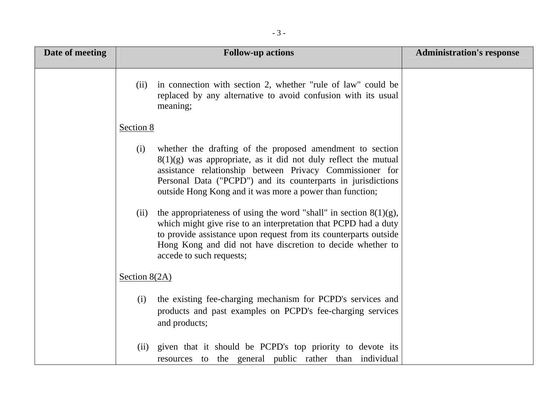| Date of meeting | <b>Follow-up actions</b>                                                                                                                                                                                                                                                                                                                                                                                                                                                        | <b>Administration's response</b> |
|-----------------|---------------------------------------------------------------------------------------------------------------------------------------------------------------------------------------------------------------------------------------------------------------------------------------------------------------------------------------------------------------------------------------------------------------------------------------------------------------------------------|----------------------------------|
|                 | in connection with section 2, whether "rule of law" could be<br>(ii)<br>replaced by any alternative to avoid confusion with its usual<br>meaning;                                                                                                                                                                                                                                                                                                                               |                                  |
|                 | Section 8                                                                                                                                                                                                                                                                                                                                                                                                                                                                       |                                  |
|                 | whether the drafting of the proposed amendment to section<br>(i)<br>$8(1)(g)$ was appropriate, as it did not duly reflect the mutual<br>assistance relationship between Privacy Commissioner for<br>Personal Data ("PCPD") and its counterparts in jurisdictions<br>outside Hong Kong and it was more a power than function;<br>the appropriateness of using the word "shall" in section $8(1)(g)$ ,<br>(ii)<br>which might give rise to an interpretation that PCPD had a duty |                                  |
|                 | to provide assistance upon request from its counterparts outside<br>Hong Kong and did not have discretion to decide whether to<br>accede to such requests;                                                                                                                                                                                                                                                                                                                      |                                  |
|                 | Section $8(2A)$                                                                                                                                                                                                                                                                                                                                                                                                                                                                 |                                  |
|                 | the existing fee-charging mechanism for PCPD's services and<br>(i)<br>products and past examples on PCPD's fee-charging services<br>and products;                                                                                                                                                                                                                                                                                                                               |                                  |
|                 | given that it should be PCPD's top priority to devote its<br>(ii)<br>resources to the general public rather than individual                                                                                                                                                                                                                                                                                                                                                     |                                  |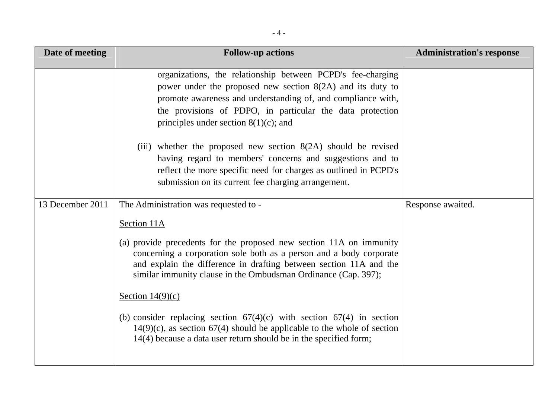| Date of meeting  | <b>Follow-up actions</b>                                                                                                                                                                                                                                                                                                                                                                                                                                                                                                                                | <b>Administration's response</b> |
|------------------|---------------------------------------------------------------------------------------------------------------------------------------------------------------------------------------------------------------------------------------------------------------------------------------------------------------------------------------------------------------------------------------------------------------------------------------------------------------------------------------------------------------------------------------------------------|----------------------------------|
|                  | organizations, the relationship between PCPD's fee-charging<br>power under the proposed new section $8(2A)$ and its duty to<br>promote awareness and understanding of, and compliance with,<br>the provisions of PDPO, in particular the data protection<br>principles under section $8(1)(c)$ ; and                                                                                                                                                                                                                                                    |                                  |
|                  | (iii) whether the proposed new section $8(2A)$ should be revised<br>having regard to members' concerns and suggestions and to<br>reflect the more specific need for charges as outlined in PCPD's<br>submission on its current fee charging arrangement.                                                                                                                                                                                                                                                                                                |                                  |
| 13 December 2011 | The Administration was requested to -                                                                                                                                                                                                                                                                                                                                                                                                                                                                                                                   | Response awaited.                |
|                  | Section 11A<br>(a) provide precedents for the proposed new section 11A on immunity<br>concerning a corporation sole both as a person and a body corporate<br>and explain the difference in drafting between section 11A and the<br>similar immunity clause in the Ombudsman Ordinance (Cap. 397);<br>Section $14(9)(c)$<br>(b) consider replacing section $67(4)(c)$ with section $67(4)$ in section<br>$14(9)(c)$ , as section 67(4) should be applicable to the whole of section<br>14(4) because a data user return should be in the specified form; |                                  |
|                  |                                                                                                                                                                                                                                                                                                                                                                                                                                                                                                                                                         |                                  |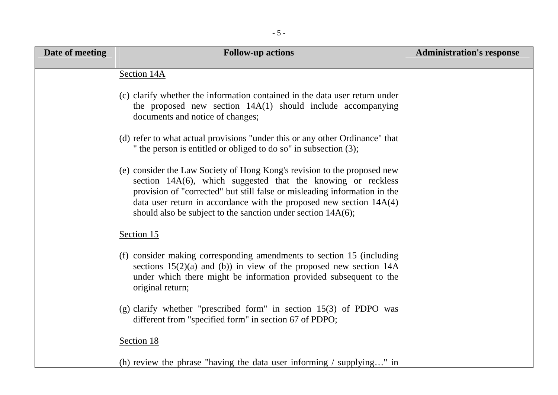| Date of meeting | <b>Follow-up actions</b>                                                                                                                                                                                                                                                                                                                                          | <b>Administration's response</b> |
|-----------------|-------------------------------------------------------------------------------------------------------------------------------------------------------------------------------------------------------------------------------------------------------------------------------------------------------------------------------------------------------------------|----------------------------------|
|                 | Section 14A                                                                                                                                                                                                                                                                                                                                                       |                                  |
|                 | (c) clarify whether the information contained in the data user return under<br>the proposed new section $14A(1)$ should include accompanying<br>documents and notice of changes;                                                                                                                                                                                  |                                  |
|                 | (d) refer to what actual provisions "under this or any other Ordinance" that<br>" the person is entitled or obliged to do so" in subsection (3);                                                                                                                                                                                                                  |                                  |
|                 | (e) consider the Law Society of Hong Kong's revision to the proposed new<br>section 14A(6), which suggested that the knowing or reckless<br>provision of "corrected" but still false or misleading information in the<br>data user return in accordance with the proposed new section $14A(4)$<br>should also be subject to the sanction under section $14A(6)$ ; |                                  |
|                 | Section 15                                                                                                                                                                                                                                                                                                                                                        |                                  |
|                 | (f) consider making corresponding amendments to section 15 (including<br>sections $15(2)(a)$ and (b)) in view of the proposed new section 14A<br>under which there might be information provided subsequent to the<br>original return;                                                                                                                            |                                  |
|                 | (g) clarify whether "prescribed form" in section 15(3) of PDPO was<br>different from "specified form" in section 67 of PDPO;                                                                                                                                                                                                                                      |                                  |
|                 | Section 18                                                                                                                                                                                                                                                                                                                                                        |                                  |
|                 | (h) review the phrase "having the data user informing $\ell$ supplying" in                                                                                                                                                                                                                                                                                        |                                  |